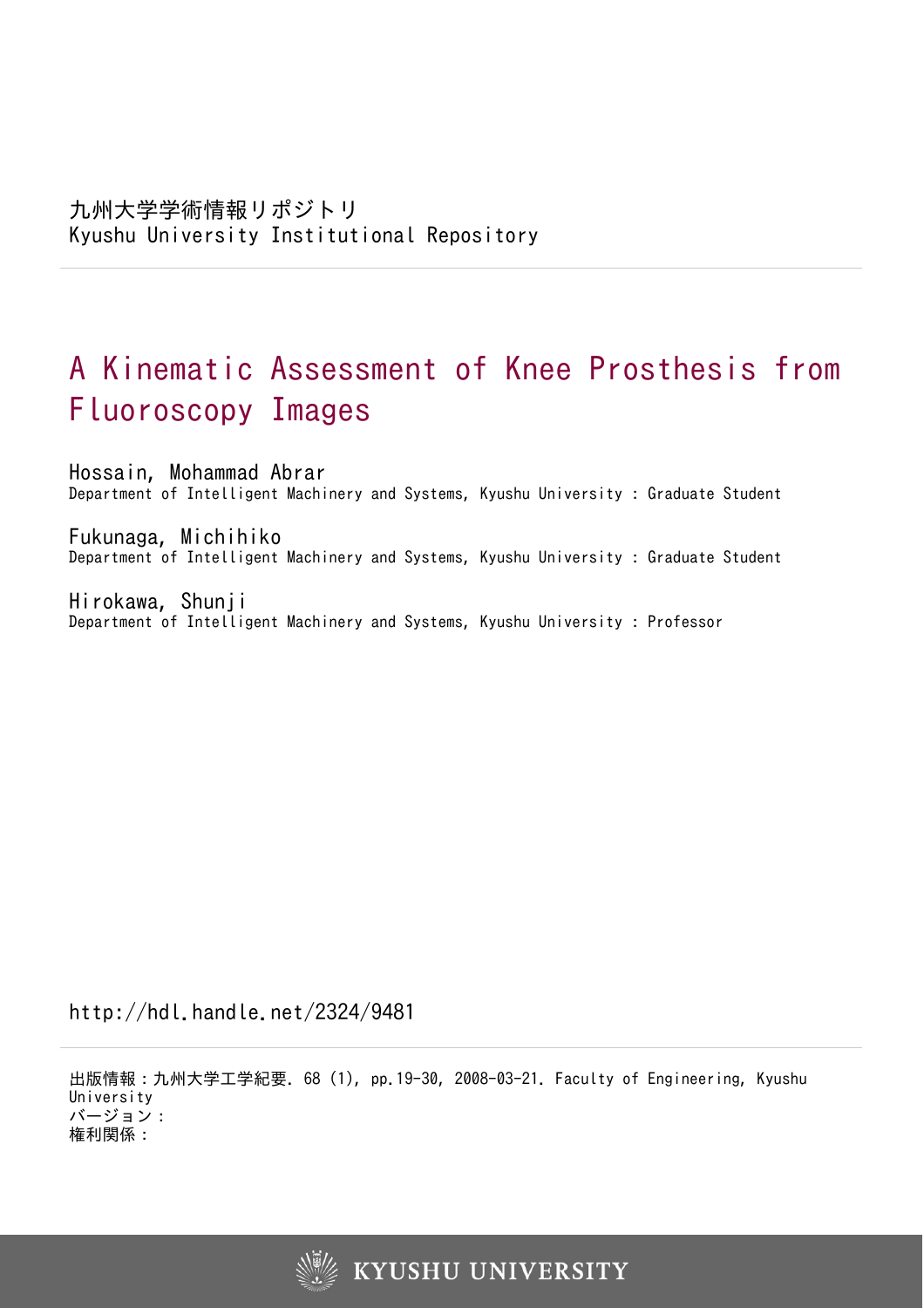# A Kinematic Assessment of Knee Prosthesis from Fluoroscopy Images

Hossain, Mohammad Abrar Department of Intelligent Machinery and Systems, Kyushu University : Graduate Student

Fukunaga, Michihiko Department of Intelligent Machinery and Systems, Kyushu University : Graduate Student

Hirokawa, Shunji Department of Intelligent Machinery and Systems, Kyushu University : Professor

http://hdl.handle.net/2324/9481

出版情報:九州大学工学紀要. 68 (1), pp.19-30, 2008-03-21. Faculty of Engineering, Kyushu University バージョン: 権利関係:

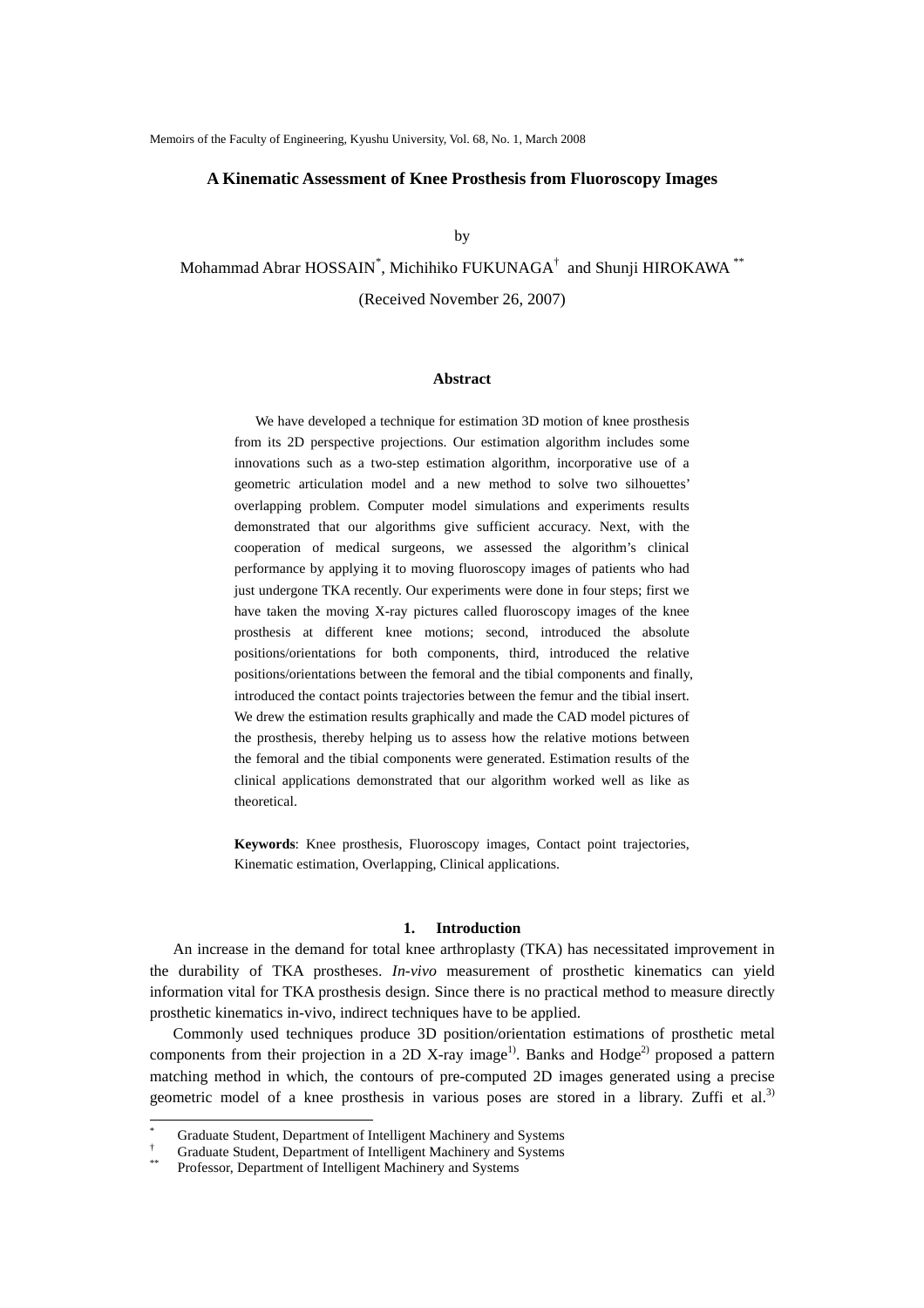### **A Kinematic Assessment of Knee Prosthesis from Fluoroscopy Images**

by

Mohammad Abrar HOSSAIN<sup>\*</sup>, Michihiko FUKUNAGA<sup>†</sup> and Shunji HIROKAWA<sup>\*\*</sup> (Received November 26, 2007)

# **Abstract**

 We have developed a technique for estimation 3D motion of knee prosthesis from its 2D perspective projections. Our estimation algorithm includes some innovations such as a two-step estimation algorithm, incorporative use of a geometric articulation model and a new method to solve two silhouettes' overlapping problem. Computer model simulations and experiments results demonstrated that our algorithms give sufficient accuracy. Next, with the cooperation of medical surgeons, we assessed the algorithm's clinical performance by applying it to moving fluoroscopy images of patients who had just undergone TKA recently. Our experiments were done in four steps; first we have taken the moving X-ray pictures called fluoroscopy images of the knee prosthesis at different knee motions; second, introduced the absolute positions/orientations for both components, third, introduced the relative positions/orientations between the femoral and the tibial components and finally, introduced the contact points trajectories between the femur and the tibial insert. We drew the estimation results graphically and made the CAD model pictures of the prosthesis, thereby helping us to assess how the relative motions between the femoral and the tibial components were generated. Estimation results of the clinical applications demonstrated that our algorithm worked well as like as theoretical.

**Keywords**: Knee prosthesis, Fluoroscopy images, Contact point trajectories, Kinematic estimation, Overlapping, Clinical applications.

# **1. Introduction**

 An increase in the demand for total knee arthroplasty (TKA) has necessitated improvement in the durability of TKA prostheses. *In-vivo* measurement of prosthetic kinematics can yield information vital for TKA prosthesis design. Since there is no practical method to measure directly prosthetic kinematics in-vivo, indirect techniques have to be applied.

 Commonly used techniques produce 3D position/orientation estimations of prosthetic metal components from their projection in a 2D X-ray image<sup>1)</sup>. Banks and  $Hodge<sup>2</sup>$  proposed a pattern matching method in which, the contours of pre-computed 2D images generated using a precise geometric model of a knee prosthesis in various poses are stored in a library. Zuffi et al.<sup>3)</sup>

 $\overline{a}$ 

<sup>\*</sup> Graduate Student, Department of Intelligent Machinery and Systems

<sup>†</sup> Graduate Student, Department of Intelligent Machinery and Systems<br>Professor, Department of Intelligent Machinery and Systems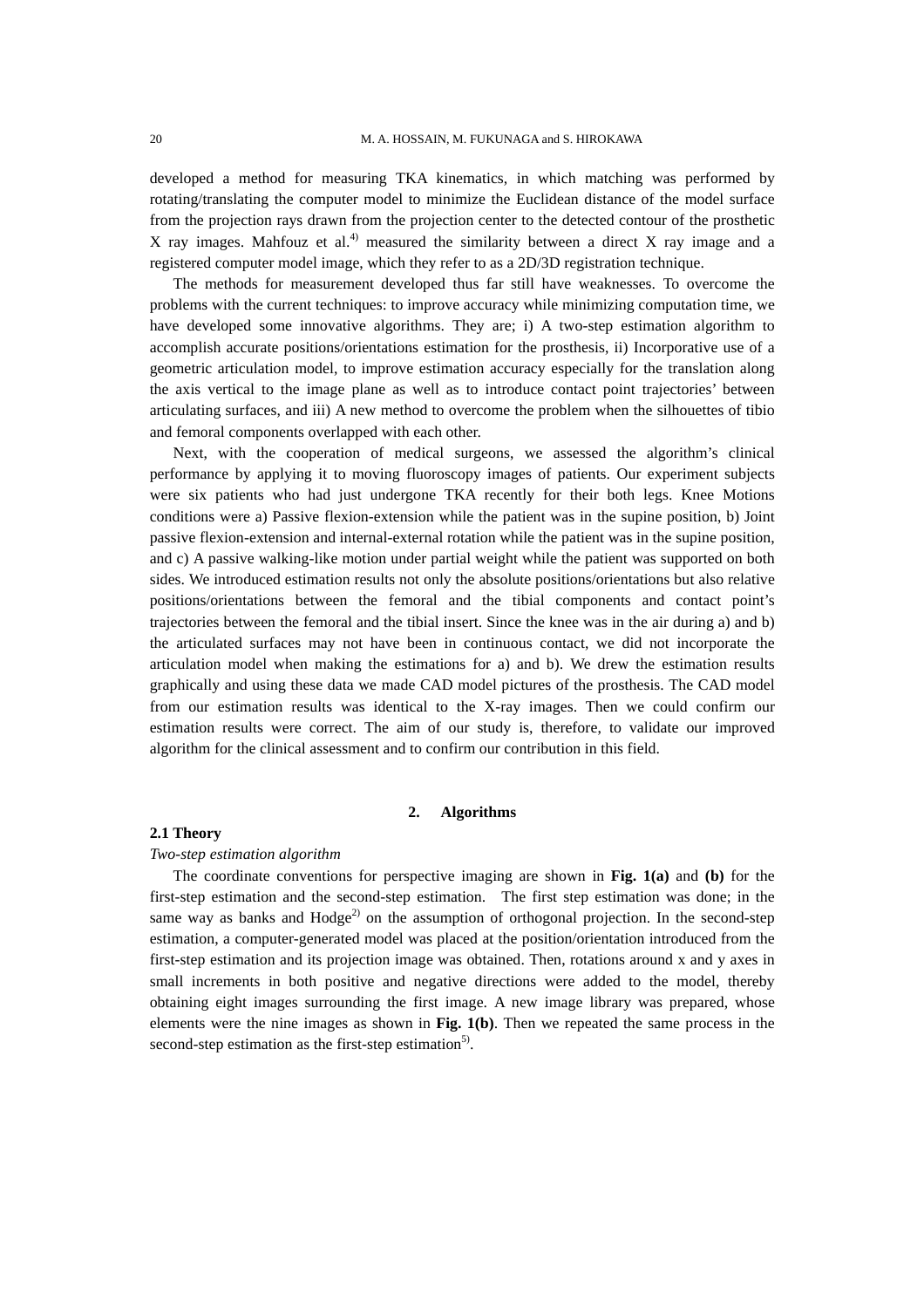developed a method for measuring TKA kinematics, in which matching was performed by rotating/translating the computer model to minimize the Euclidean distance of the model surface from the projection rays drawn from the projection center to the detected contour of the prosthetic X ray images. Mahfouz et al.<sup>4)</sup> measured the similarity between a direct X ray image and a registered computer model image, which they refer to as a 2D/3D registration technique.

 The methods for measurement developed thus far still have weaknesses. To overcome the problems with the current techniques: to improve accuracy while minimizing computation time, we have developed some innovative algorithms. They are; i) A two-step estimation algorithm to accomplish accurate positions/orientations estimation for the prosthesis, ii) Incorporative use of a geometric articulation model, to improve estimation accuracy especially for the translation along the axis vertical to the image plane as well as to introduce contact point trajectories' between articulating surfaces, and iii) A new method to overcome the problem when the silhouettes of tibio and femoral components overlapped with each other.

 Next, with the cooperation of medical surgeons, we assessed the algorithm's clinical performance by applying it to moving fluoroscopy images of patients. Our experiment subjects were six patients who had just undergone TKA recently for their both legs. Knee Motions conditions were a) Passive flexion-extension while the patient was in the supine position, b) Joint passive flexion-extension and internal-external rotation while the patient was in the supine position, and c) A passive walking-like motion under partial weight while the patient was supported on both sides. We introduced estimation results not only the absolute positions/orientations but also relative positions/orientations between the femoral and the tibial components and contact point's trajectories between the femoral and the tibial insert. Since the knee was in the air during a) and b) the articulated surfaces may not have been in continuous contact, we did not incorporate the articulation model when making the estimations for a) and b). We drew the estimation results graphically and using these data we made CAD model pictures of the prosthesis. The CAD model from our estimation results was identical to the X-ray images. Then we could confirm our estimation results were correct. The aim of our study is, therefore, to validate our improved algorithm for the clinical assessment and to confirm our contribution in this field.

# **2. Algorithms**

### **2.1 Theory**

#### *Two-step estimation algorithm*

 The coordinate conventions for perspective imaging are shown in **Fig. 1(a)** and **(b)** for the first-step estimation and the second-step estimation. The first step estimation was done; in the same way as banks and  $Hodge<sup>2</sup>$  on the assumption of orthogonal projection. In the second-step estimation, a computer-generated model was placed at the position/orientation introduced from the first-step estimation and its projection image was obtained. Then, rotations around x and y axes in small increments in both positive and negative directions were added to the model, thereby obtaining eight images surrounding the first image. A new image library was prepared, whose elements were the nine images as shown in **Fig. 1(b)**. Then we repeated the same process in the second-step estimation as the first-step estimation<sup>5)</sup>.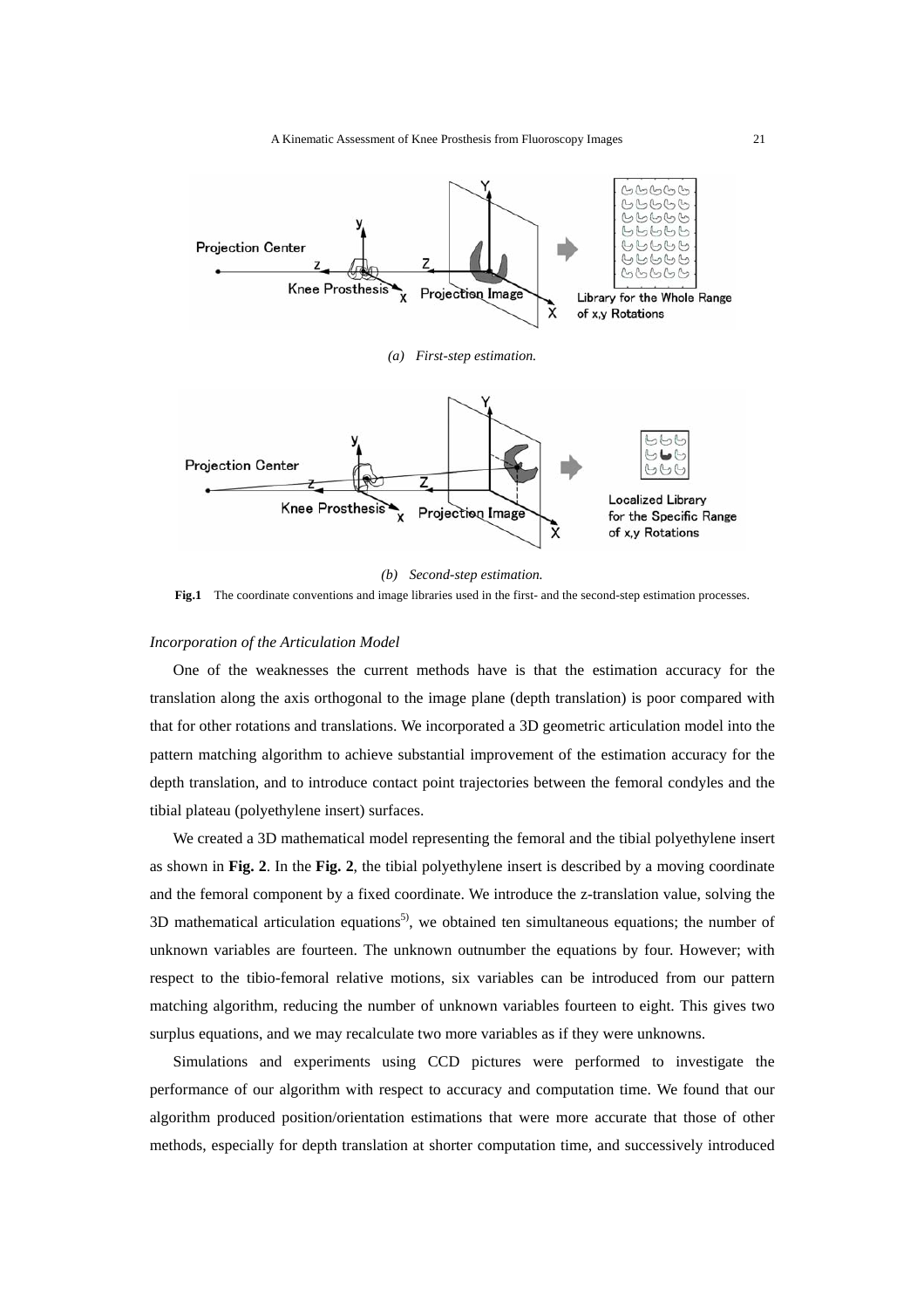

*(b) Second-step estimation.*  **Fig.1** The coordinate conventions and image libraries used in the first- and the second-step estimation processes.

# *Incorporation of the Articulation Model*

 One of the weaknesses the current methods have is that the estimation accuracy for the translation along the axis orthogonal to the image plane (depth translation) is poor compared with that for other rotations and translations. We incorporated a 3D geometric articulation model into the pattern matching algorithm to achieve substantial improvement of the estimation accuracy for the depth translation, and to introduce contact point trajectories between the femoral condyles and the tibial plateau (polyethylene insert) surfaces.

 We created a 3D mathematical model representing the femoral and the tibial polyethylene insert as shown in **Fig. 2**. In the **Fig. 2**, the tibial polyethylene insert is described by a moving coordinate and the femoral component by a fixed coordinate. We introduce the z-translation value, solving the 3D mathematical articulation equations<sup>5)</sup>, we obtained ten simultaneous equations; the number of unknown variables are fourteen. The unknown outnumber the equations by four. However; with respect to the tibio-femoral relative motions, six variables can be introduced from our pattern matching algorithm, reducing the number of unknown variables fourteen to eight. This gives two surplus equations, and we may recalculate two more variables as if they were unknowns.

 Simulations and experiments using CCD pictures were performed to investigate the performance of our algorithm with respect to accuracy and computation time. We found that our algorithm produced position/orientation estimations that were more accurate that those of other methods, especially for depth translation at shorter computation time, and successively introduced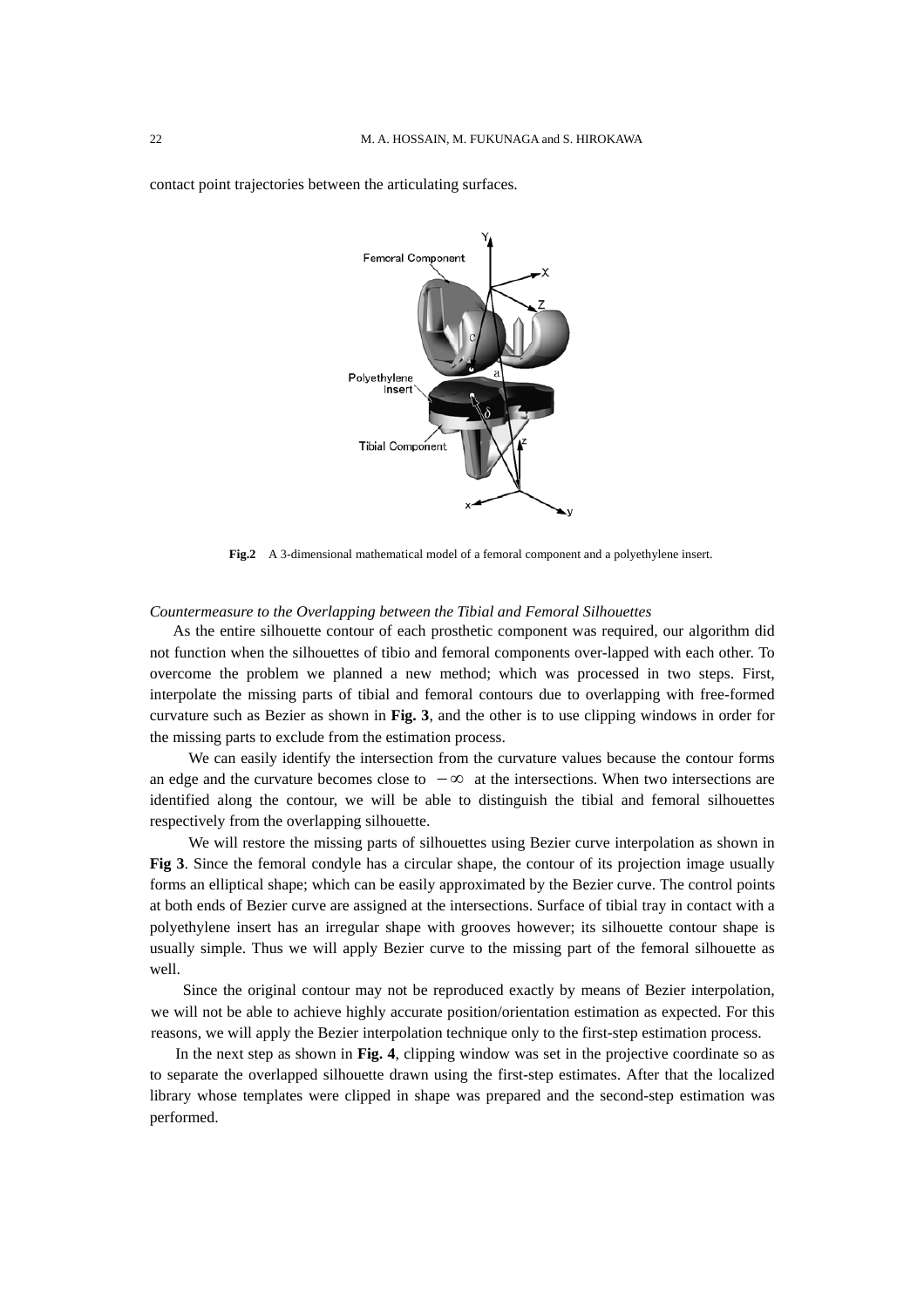

contact point trajectories between the articulating surfaces.

**Fig.2** A 3-dimensional mathematical model of a femoral component and a polyethylene insert.

# *Countermeasure to the Overlapping between the Tibial and Femoral Silhouettes*

As the entire silhouette contour of each prosthetic component was required, our algorithm did not function when the silhouettes of tibio and femoral components over-lapped with each other. To overcome the problem we planned a new method; which was processed in two steps. First, interpolate the missing parts of tibial and femoral contours due to overlapping with free-formed curvature such as Bezier as shown in **Fig. 3**, and the other is to use clipping windows in order for the missing parts to exclude from the estimation process.

 We can easily identify the intersection from the curvature values because the contour forms an edge and the curvature becomes close to  $-\infty$  at the intersections. When two intersections are identified along the contour, we will be able to distinguish the tibial and femoral silhouettes respectively from the overlapping silhouette.

We will restore the missing parts of silhouettes using Bezier curve interpolation as shown in **Fig 3**. Since the femoral condyle has a circular shape, the contour of its projection image usually forms an elliptical shape; which can be easily approximated by the Bezier curve. The control points at both ends of Bezier curve are assigned at the intersections. Surface of tibial tray in contact with a polyethylene insert has an irregular shape with grooves however; its silhouette contour shape is usually simple. Thus we will apply Bezier curve to the missing part of the femoral silhouette as well.

 Since the original contour may not be reproduced exactly by means of Bezier interpolation, we will not be able to achieve highly accurate position/orientation estimation as expected. For this reasons, we will apply the Bezier interpolation technique only to the first-step estimation process.

 In the next step as shown in **Fig. 4**, clipping window was set in the projective coordinate so as to separate the overlapped silhouette drawn using the first-step estimates. After that the localized library whose templates were clipped in shape was prepared and the second-step estimation was performed.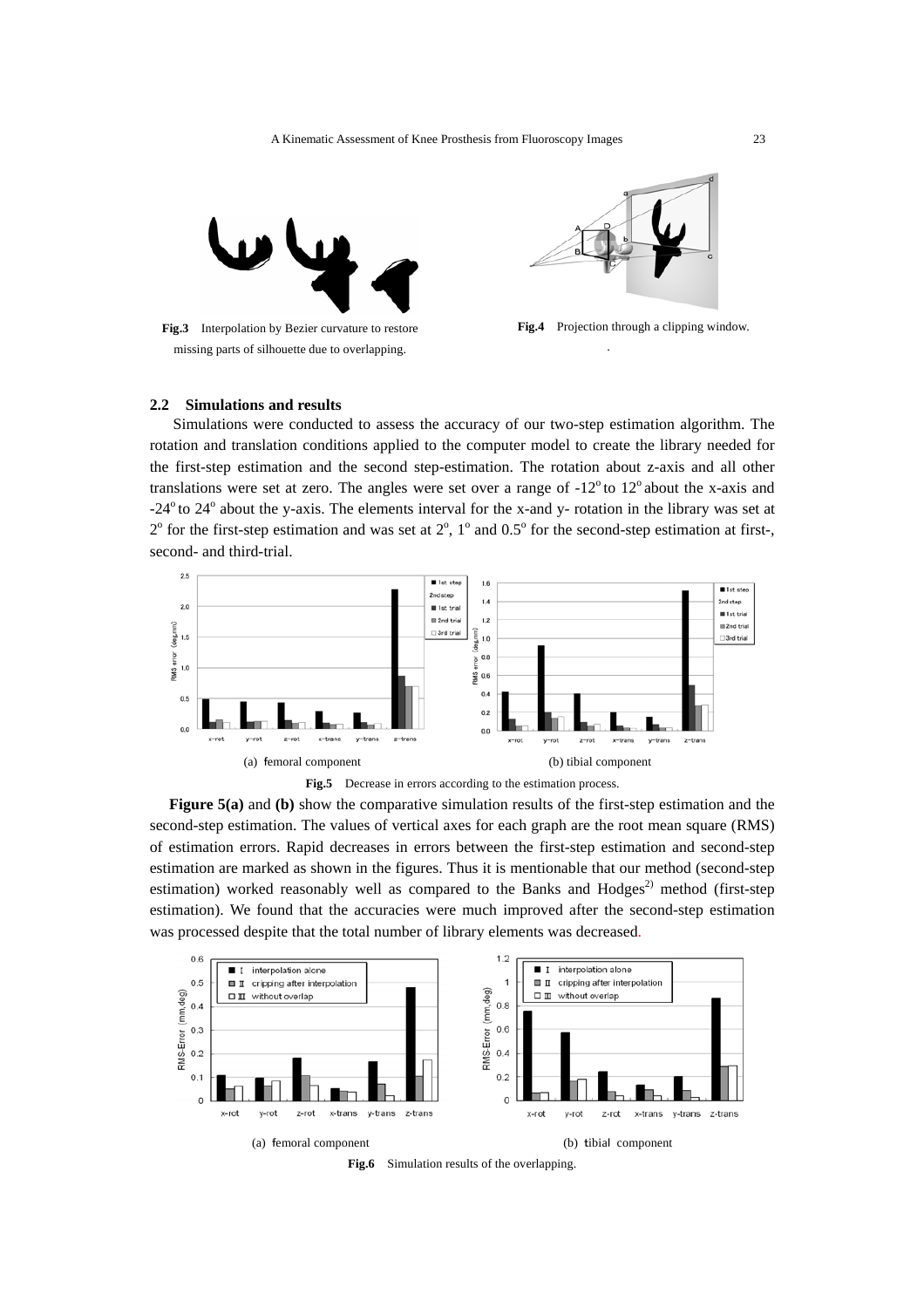

**Fig.3** Interpolation by Bezier curvature to restore missing parts of silhouette due to overlapping.



**Fig.4** Projection through a clipping window.

.

# **2.2 Simulations and results**

 Simulations were conducted to assess the accuracy of our two-step estimation algorithm. The rotation and translation conditions applied to the computer model to create the library needed for the first-step estimation and the second step-estimation. The rotation about z-axis and all other translations were set at zero. The angles were set over a range of  $-12^{\circ}$  to  $12^{\circ}$  about the x-axis and  $-24^{\circ}$  to  $24^{\circ}$  about the y-axis. The elements interval for the x-and y- rotation in the library was set at  $2^{\circ}$  for the first-step estimation and was set at  $2^{\circ}$ ,  $1^{\circ}$  and  $0.5^{\circ}$  for the second-step estimation at first-, second- and third-trial.



**Figure 5(a)** and **(b)** show the comparative simulation results of the first-step estimation and the second-step estimation. The values of vertical axes for each graph are the root mean square (RMS) of estimation errors. Rapid decreases in errors between the first-step estimation and second-step estimation are marked as shown in the figures. Thus it is mentionable that our method (second-step estimation) worked reasonably well as compared to the Banks and Hodges<sup>2)</sup> method (first-step estimation). We found that the accuracies were much improved after the second-step estimation was processed despite that the total number of library elements was decreased.



**Fig.6** Simulation results of the overlapping.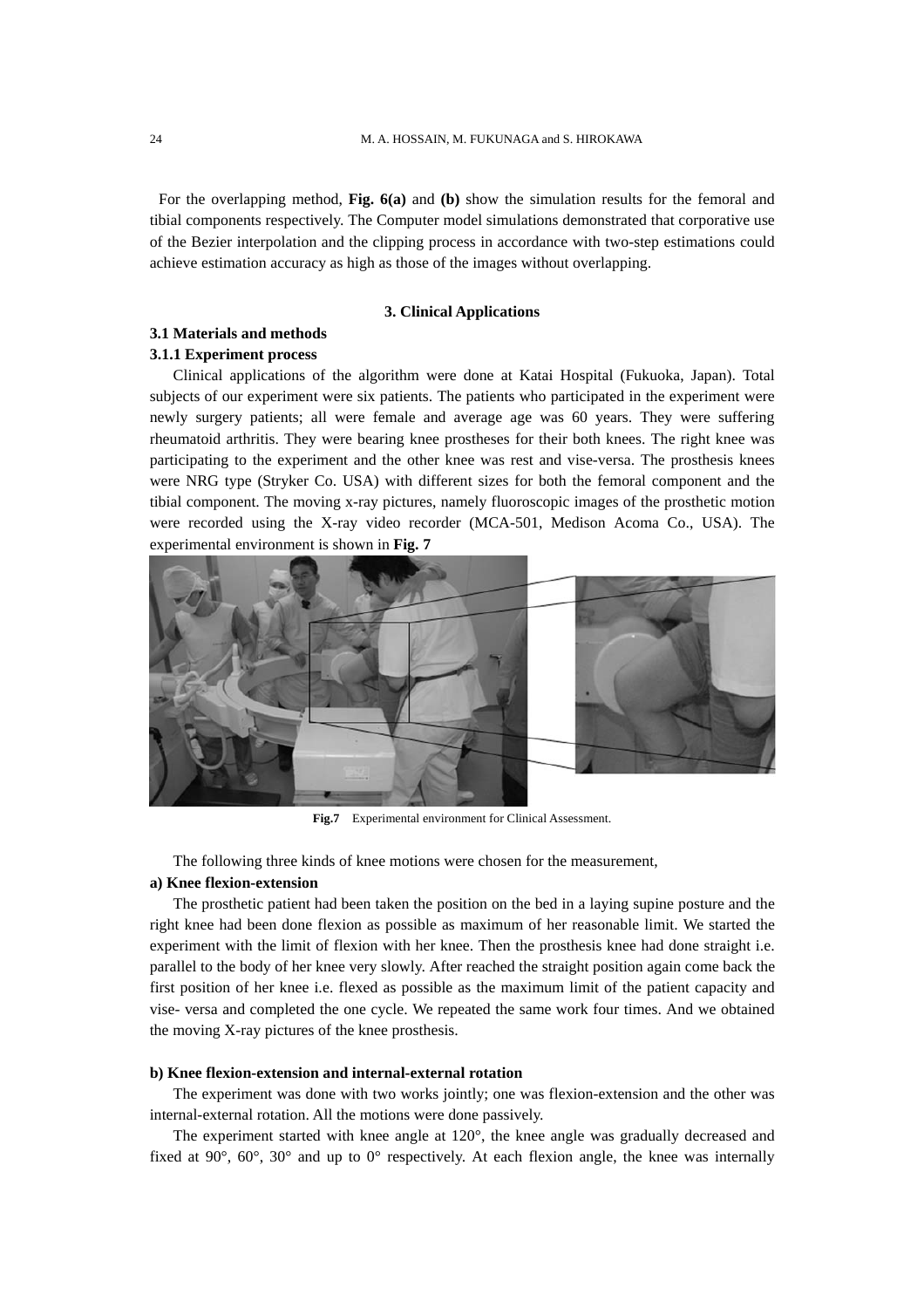For the overlapping method, **Fig. 6(a)** and **(b)** show the simulation results for the femoral and tibial components respectively. The Computer model simulations demonstrated that corporative use of the Bezier interpolation and the clipping process in accordance with two-step estimations could achieve estimation accuracy as high as those of the images without overlapping.

### **3. Clinical Applications**

# **3.1 Materials and methods**

# **3.1.1 Experiment process**

 Clinical applications of the algorithm were done at Katai Hospital (Fukuoka, Japan). Total subjects of our experiment were six patients. The patients who participated in the experiment were newly surgery patients; all were female and average age was 60 years. They were suffering rheumatoid arthritis. They were bearing knee prostheses for their both knees. The right knee was participating to the experiment and the other knee was rest and vise-versa. The prosthesis knees were NRG type (Stryker Co. USA) with different sizes for both the femoral component and the tibial component. The moving x-ray pictures, namely fluoroscopic images of the prosthetic motion were recorded using the X-ray video recorder (MCA-501, Medison Acoma Co., USA). The experimental environment is shown in **Fig. 7**



**Fig.7** Experimental environment for Clinical Assessment.

The following three kinds of knee motions were chosen for the measurement,

### **a) Knee flexion-extension**

 The prosthetic patient had been taken the position on the bed in a laying supine posture and the right knee had been done flexion as possible as maximum of her reasonable limit. We started the experiment with the limit of flexion with her knee. Then the prosthesis knee had done straight i.e. parallel to the body of her knee very slowly. After reached the straight position again come back the first position of her knee i.e. flexed as possible as the maximum limit of the patient capacity and vise- versa and completed the one cycle. We repeated the same work four times. And we obtained the moving X-ray pictures of the knee prosthesis.

# **b) Knee flexion-extension and internal-external rotation**

 The experiment was done with two works jointly; one was flexion-extension and the other was internal-external rotation. All the motions were done passively.

 The experiment started with knee angle at 120°, the knee angle was gradually decreased and fixed at 90 $^{\circ}$ , 60 $^{\circ}$ , 30 $^{\circ}$  and up to 0 $^{\circ}$  respectively. At each flexion angle, the knee was internally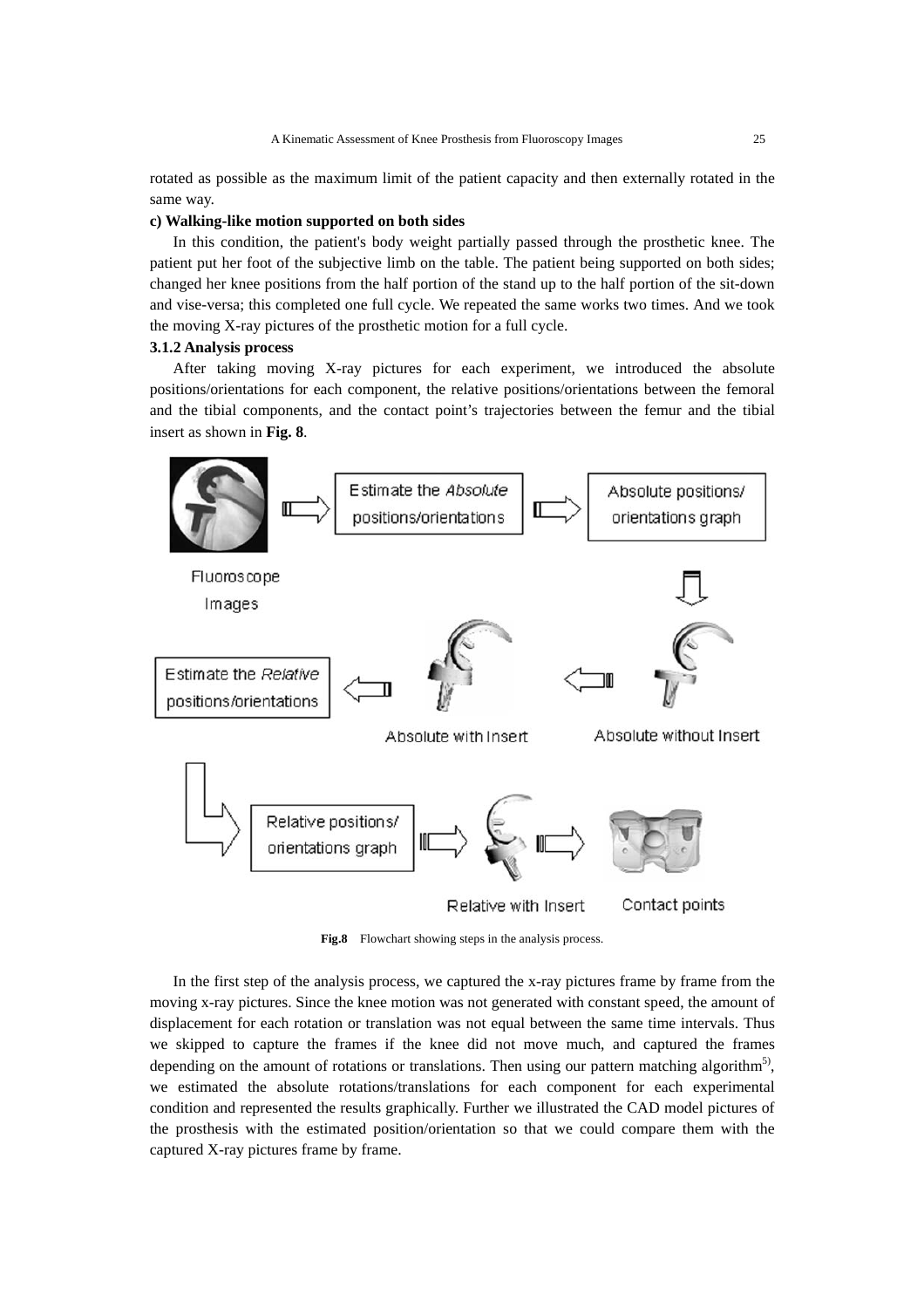rotated as possible as the maximum limit of the patient capacity and then externally rotated in the same way.

### **c) Walking-like motion supported on both sides**

 In this condition, the patient's body weight partially passed through the prosthetic knee. The patient put her foot of the subjective limb on the table. The patient being supported on both sides; changed her knee positions from the half portion of the stand up to the half portion of the sit-down and vise-versa; this completed one full cycle. We repeated the same works two times. And we took the moving X-ray pictures of the prosthetic motion for a full cycle.

# **3.1.2 Analysis process**

 After taking moving X-ray pictures for each experiment, we introduced the absolute positions/orientations for each component, the relative positions/orientations between the femoral and the tibial components, and the contact point's trajectories between the femur and the tibial insert as shown in **Fig. 8**.



**Fig.8** Flowchart showing steps in the analysis process.

 In the first step of the analysis process, we captured the x-ray pictures frame by frame from the moving x-ray pictures. Since the knee motion was not generated with constant speed, the amount of displacement for each rotation or translation was not equal between the same time intervals. Thus we skipped to capture the frames if the knee did not move much, and captured the frames depending on the amount of rotations or translations. Then using our pattern matching algorithm<sup>5)</sup>, we estimated the absolute rotations/translations for each component for each experimental condition and represented the results graphically. Further we illustrated the CAD model pictures of the prosthesis with the estimated position/orientation so that we could compare them with the captured X-ray pictures frame by frame.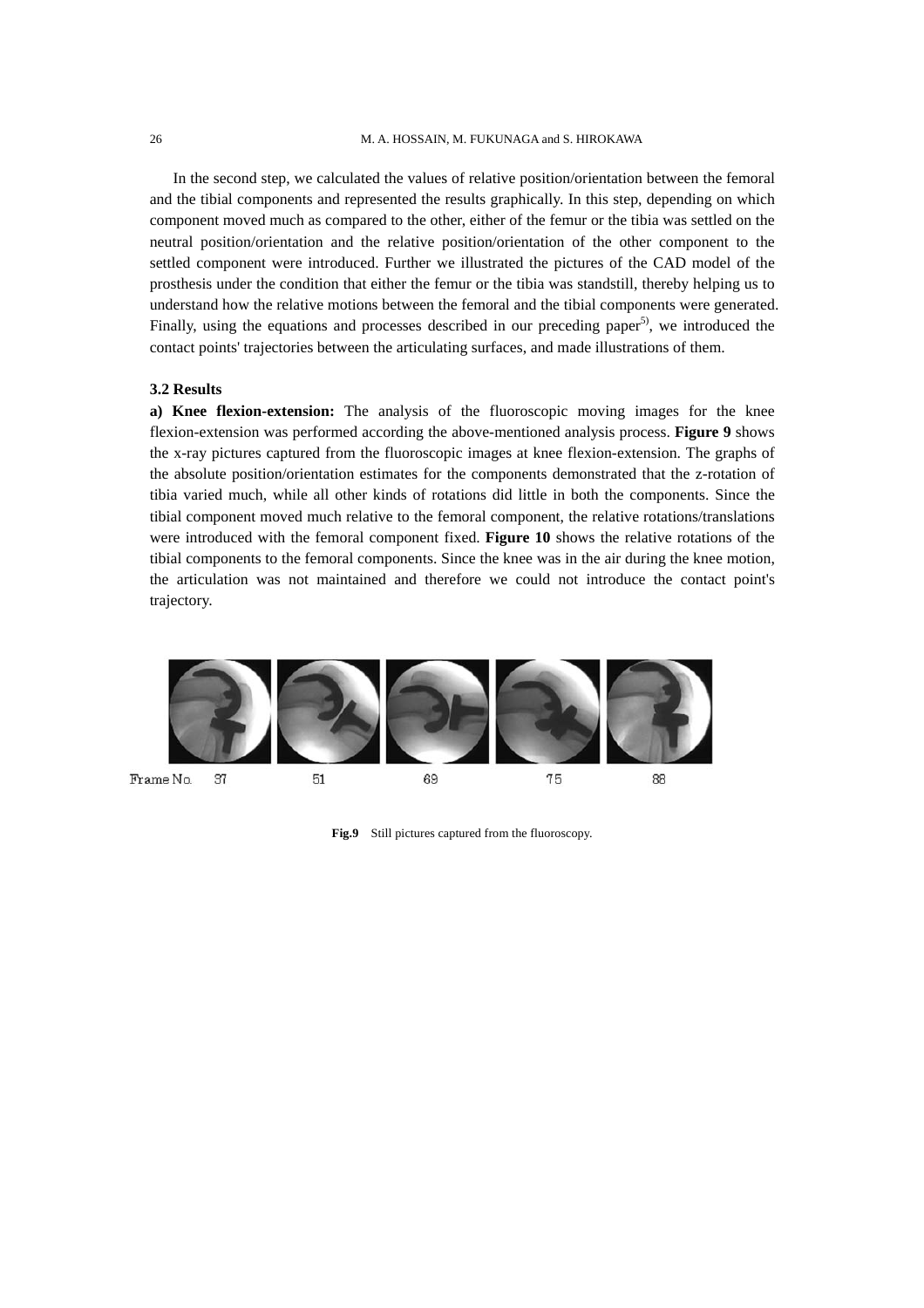In the second step, we calculated the values of relative position/orientation between the femoral and the tibial components and represented the results graphically. In this step, depending on which component moved much as compared to the other, either of the femur or the tibia was settled on the neutral position/orientation and the relative position/orientation of the other component to the settled component were introduced. Further we illustrated the pictures of the CAD model of the prosthesis under the condition that either the femur or the tibia was standstill, thereby helping us to understand how the relative motions between the femoral and the tibial components were generated. Finally, using the equations and processes described in our preceding paper<sup>5)</sup>, we introduced the contact points' trajectories between the articulating surfaces, and made illustrations of them.

### **3.2 Results**

**a) Knee flexion-extension:** The analysis of the fluoroscopic moving images for the knee flexion-extension was performed according the above-mentioned analysis process. **Figure 9** shows the x-ray pictures captured from the fluoroscopic images at knee flexion-extension. The graphs of the absolute position/orientation estimates for the components demonstrated that the z-rotation of tibia varied much, while all other kinds of rotations did little in both the components. Since the tibial component moved much relative to the femoral component, the relative rotations/translations were introduced with the femoral component fixed. **Figure 10** shows the relative rotations of the tibial components to the femoral components. Since the knee was in the air during the knee motion, the articulation was not maintained and therefore we could not introduce the contact point's trajectory.



**Fig.9** Still pictures captured from the fluoroscopy.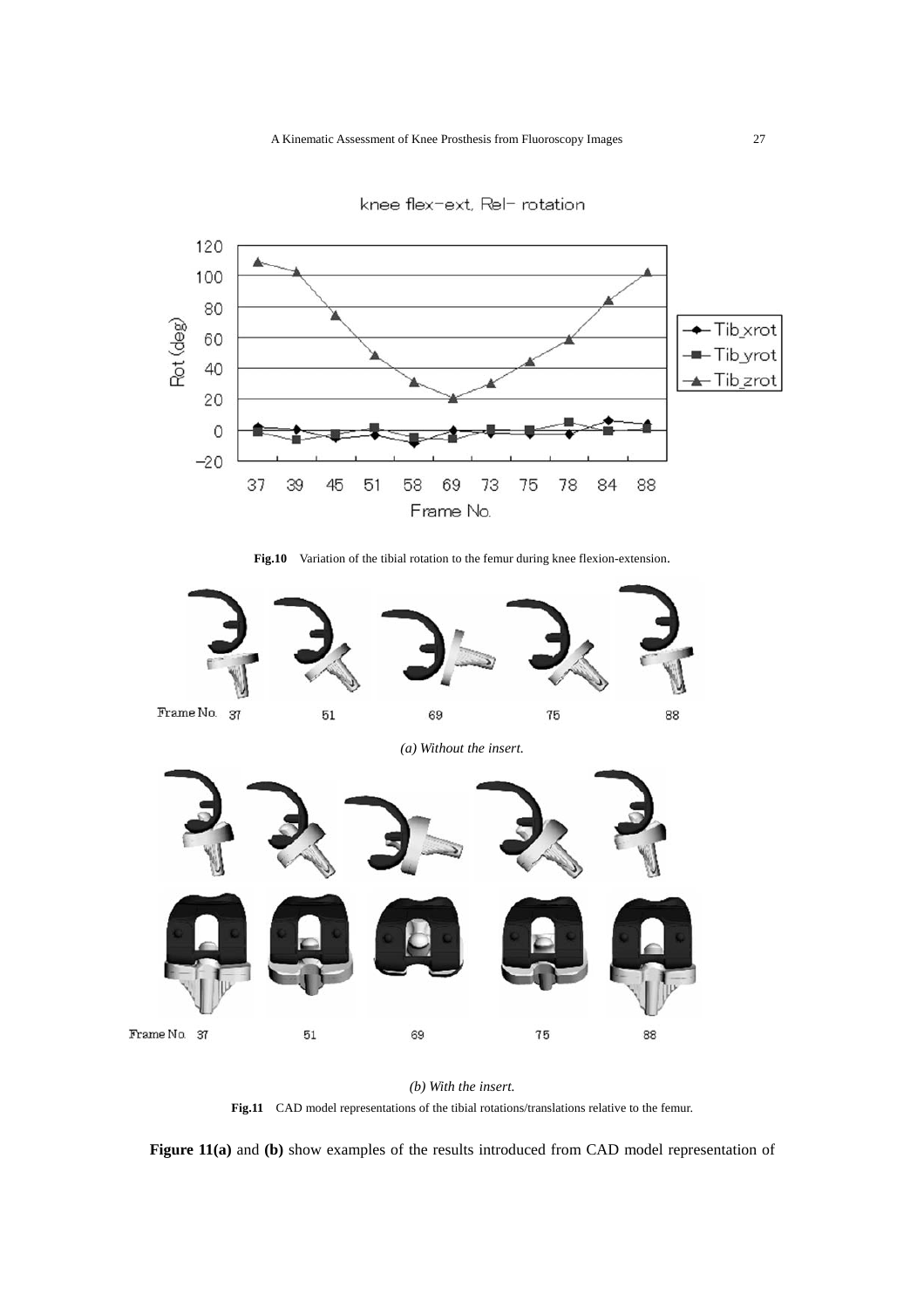

knee flex-ext, Rel- rotation

Fig.10 Variation of the tibial rotation to the femur during knee flexion-extension.





**Fig.11** CAD model representations of the tibial rotations/translations relative to the femur.

**Figure 11(a)** and **(b)** show examples of the results introduced from CAD model representation of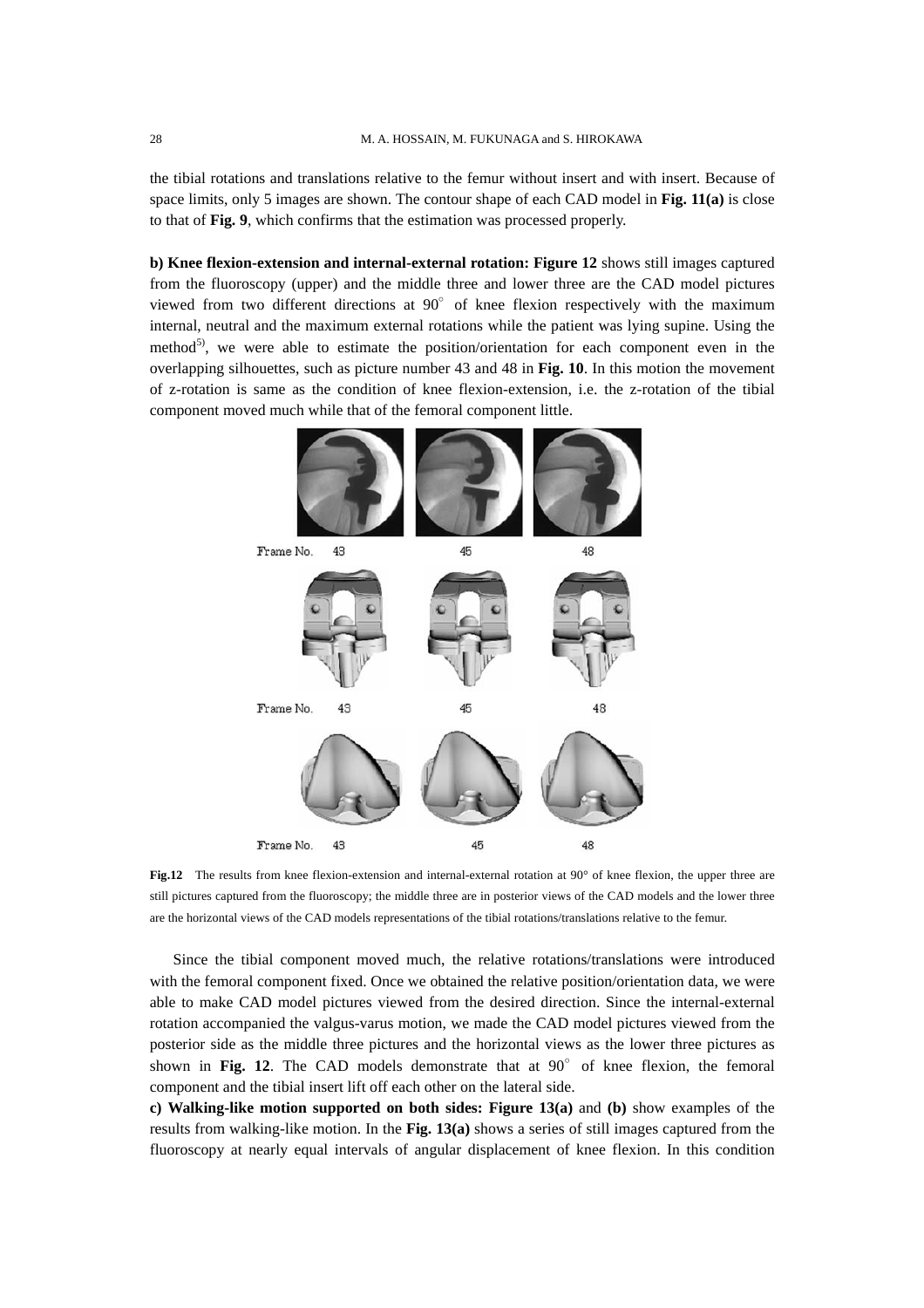the tibial rotations and translations relative to the femur without insert and with insert. Because of space limits, only 5 images are shown. The contour shape of each CAD model in **Fig. 11(a)** is close to that of **Fig. 9**, which confirms that the estimation was processed properly.

**b) Knee flexion-extension and internal-external rotation: Figure 12** shows still images captured from the fluoroscopy (upper) and the middle three and lower three are the CAD model pictures viewed from two different directions at  $90^{\circ}$  of knee flexion respectively with the maximum internal, neutral and the maximum external rotations while the patient was lying supine. Using the method<sup>5)</sup>, we were able to estimate the position/orientation for each component even in the overlapping silhouettes, such as picture number 43 and 48 in **Fig. 10**. In this motion the movement of z-rotation is same as the condition of knee flexion-extension, i.e. the z-rotation of the tibial component moved much while that of the femoral component little.



**Fig.12** The results from knee flexion-extension and internal-external rotation at 90° of knee flexion, the upper three are still pictures captured from the fluoroscopy; the middle three are in posterior views of the CAD models and the lower three are the horizontal views of the CAD models representations of the tibial rotations/translations relative to the femur.

 Since the tibial component moved much, the relative rotations/translations were introduced with the femoral component fixed. Once we obtained the relative position/orientation data, we were able to make CAD model pictures viewed from the desired direction. Since the internal-external rotation accompanied the valgus-varus motion, we made the CAD model pictures viewed from the posterior side as the middle three pictures and the horizontal views as the lower three pictures as shown in Fig. 12. The CAD models demonstrate that at  $90^\circ$  of knee flexion, the femoral component and the tibial insert lift off each other on the lateral side.

**c) Walking-like motion supported on both sides: Figure 13(a)** and **(b)** show examples of the results from walking-like motion. In the **Fig. 13(a)** shows a series of still images captured from the fluoroscopy at nearly equal intervals of angular displacement of knee flexion. In this condition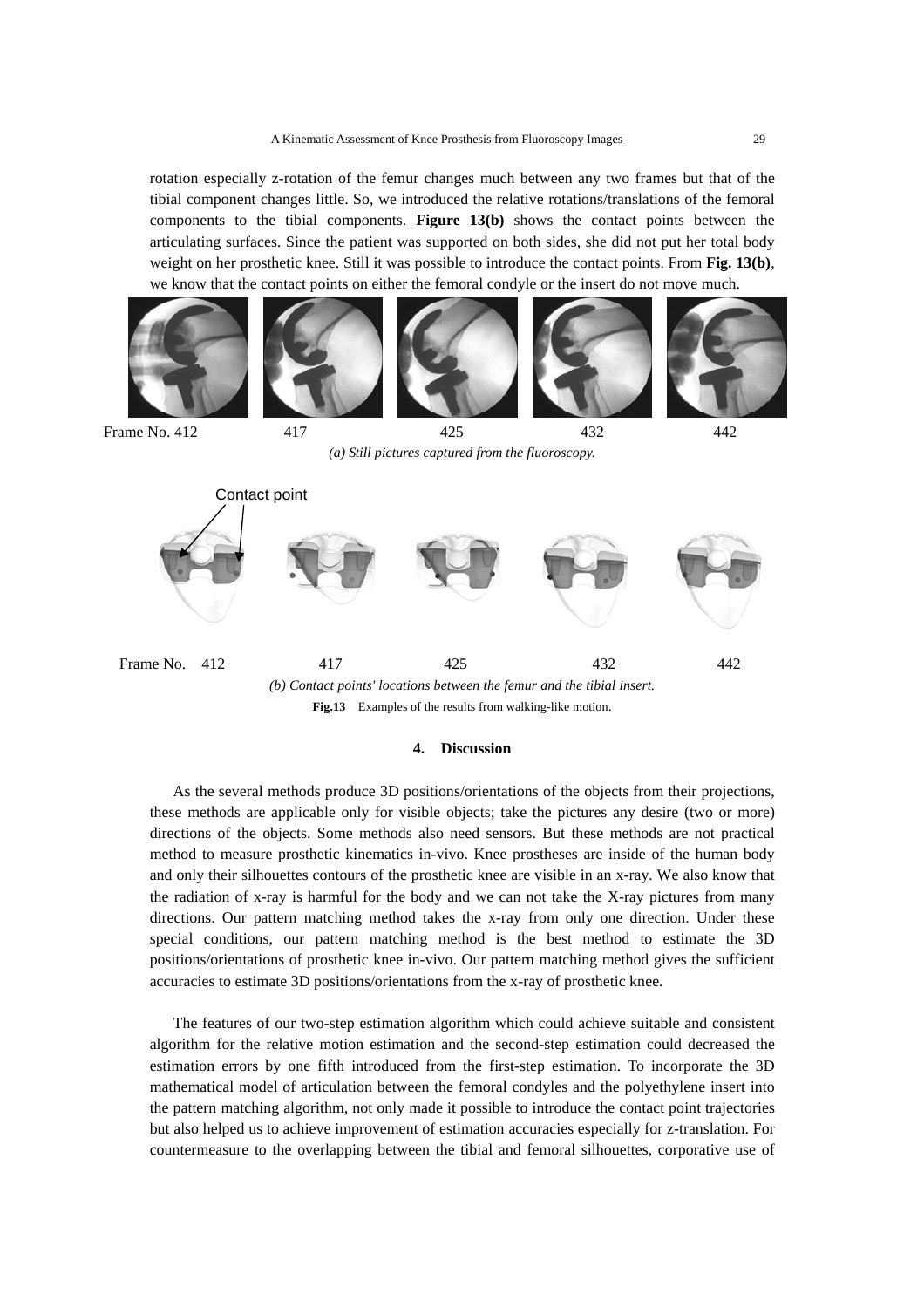rotation especially z-rotation of the femur changes much between any two frames but that of the tibial component changes little. So, we introduced the relative rotations/translations of the femoral components to the tibial components. **Figure 13(b)** shows the contact points between the articulating surfaces. Since the patient was supported on both sides, she did not put her total body weight on her prosthetic knee. Still it was possible to introduce the contact points. From **Fig. 13(b)**, we know that the contact points on either the femoral condyle or the insert do not move much.











Frame No. 412 417 425 432 442

*(a) Still pictures captured from the fluoroscopy.* 



### **4. Discussion**

 As the several methods produce 3D positions/orientations of the objects from their projections, these methods are applicable only for visible objects; take the pictures any desire (two or more) directions of the objects. Some methods also need sensors. But these methods are not practical method to measure prosthetic kinematics in-vivo. Knee prostheses are inside of the human body and only their silhouettes contours of the prosthetic knee are visible in an x-ray. We also know that the radiation of x-ray is harmful for the body and we can not take the X-ray pictures from many directions. Our pattern matching method takes the x-ray from only one direction. Under these special conditions, our pattern matching method is the best method to estimate the 3D positions/orientations of prosthetic knee in-vivo. Our pattern matching method gives the sufficient accuracies to estimate 3D positions/orientations from the x-ray of prosthetic knee.

 The features of our two-step estimation algorithm which could achieve suitable and consistent algorithm for the relative motion estimation and the second-step estimation could decreased the estimation errors by one fifth introduced from the first-step estimation. To incorporate the 3D mathematical model of articulation between the femoral condyles and the polyethylene insert into the pattern matching algorithm, not only made it possible to introduce the contact point trajectories but also helped us to achieve improvement of estimation accuracies especially for z-translation. For countermeasure to the overlapping between the tibial and femoral silhouettes, corporative use of